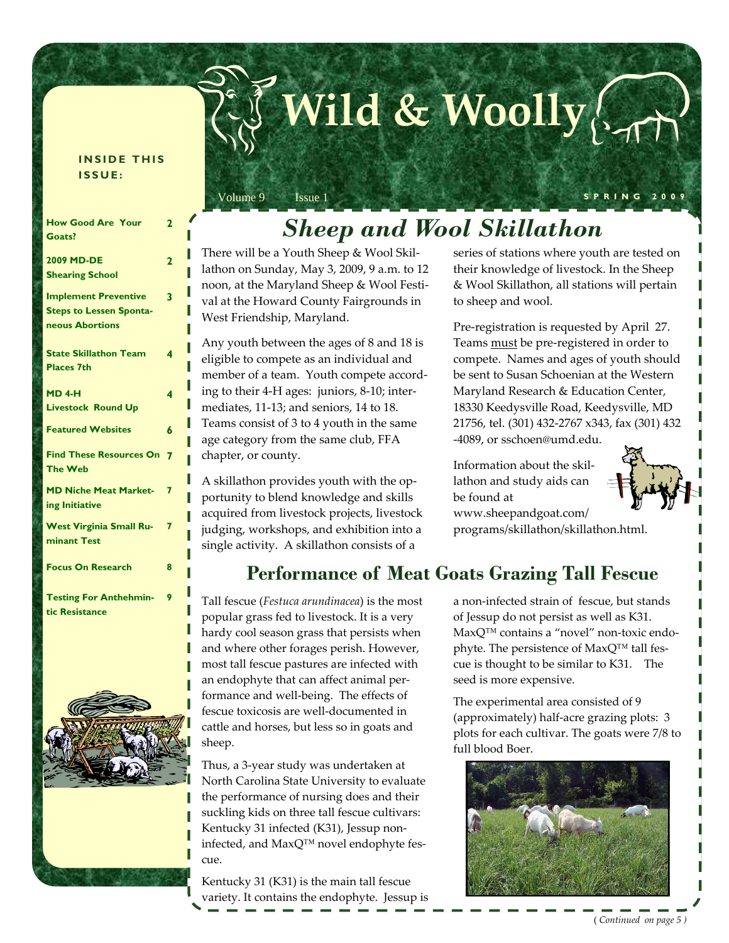#### **INSIDE THIS ISSUE:**

| <b>How Good Are Your</b><br>Goats?                                               | 2              |
|----------------------------------------------------------------------------------|----------------|
| 2009 MD-DE<br><b>Shearing School</b>                                             | $\overline{2}$ |
| <b>Implement Preventive</b><br><b>Steps to Lessen Sponta-</b><br>neous Abortions | 3              |
| <b>State Skillathon Team</b><br><b>Places 7th</b>                                | 4              |
| <b>MD 4-H</b><br><b>Livestock Round Up</b>                                       | 4              |
| <b>Featured Websites</b>                                                         | 6              |
| <b>Find These Resources On</b><br><b>The Web</b>                                 | 7              |
| <b>MD Niche Meat Market-</b><br>ing Initiative                                   | 7              |
| <b>West Virginia Small Ru-</b><br>minant Test                                    | 7              |
| <b>Focus On Research</b>                                                         | 8              |
| <b>Testing For Anthehmin-</b><br>tic Resistance                                  | 9              |



# *Sheep and Wool Skillathon*

Volume 9 Issue 1 **SPRING 2009** 

**Wild & Woolly**

There will be a Youth Sheep & Wool Skil‐ lathon on Sunday, May 3, 2009, 9 a.m. to 12 noon, at the Maryland Sheep & Wool Festi‐ val at the Howard County Fairgrounds in West Friendship, Maryland.

Any youth between the ages of 8 and 18 is eligible to compete as an individual and member of a team. Youth compete according to their 4‐H ages: juniors, 8‐10; inter‐ mediates, 11‐13; and seniors, 14 to 18. Teams consist of 3 to 4 youth in the same age category from the same club, FFA chapter, or county.

A skillathon provides youth with the op‐ portunity to blend knowledge and skills acquired from livestock projects, livestock judging, workshops, and exhibition into a single activity. A skillathon consists of a

series of stations where youth are tested on their knowledge of livestock. In the Sheep & Wool Skillathon, all stations will pertain to sheep and wool.

Pre‐registration is requested by April 27. Teams must be pre‐registered in order to compete. Names and ages of youth should be sent to Susan Schoenian at the Western Maryland Research & Education Center, 18330 Keedysville Road, Keedysville, MD 21756, tel. (301) 432‐2767 x343, fax (301) 432 ‐4089, or sschoen@umd.edu.

Information about the skil‐ lathon and study aids can be found at www.sheepandgoat.com/ programs/skillathon/skillathon.html.



**Performance of Meat Goats Grazing Tall Fescue** 

Tall fescue (*Festuca arundinacea*) is the most popular grass fed to livestock. It is a very hardy cool season grass that persists when and where other forages perish. However, most tall fescue pastures are infected with an endophyte that can affect animal per‐ formance and well‐being. The effects of fescue toxicosis are well‐documented in cattle and horses, but less so in goats and sheep.

Thus, a 3‐year study was undertaken at North Carolina State University to evaluate the performance of nursing does and their suckling kids on three tall fescue cultivars: Kentucky 31 infected (K31), Jessup non‐ infected, and MaxQ<sup>™</sup> novel endophyte fescue.

Kentucky 31 (K31) is the main tall fescue variety. It contains the endophyte. Jessup is

a non‐infected strain of fescue, but stands of Jessup do not persist as well as K31. MaxQ<sup>™</sup> contains a "novel" non-toxic endophyte. The persistence of MaxQ™ tall fescue is thought to be similar to K31. The seed is more expensive.

The experimental area consisted of 9 (approximately) half‐acre grazing plots: 3 plots for each cultivar. The goats were 7/8 to full blood Boer.

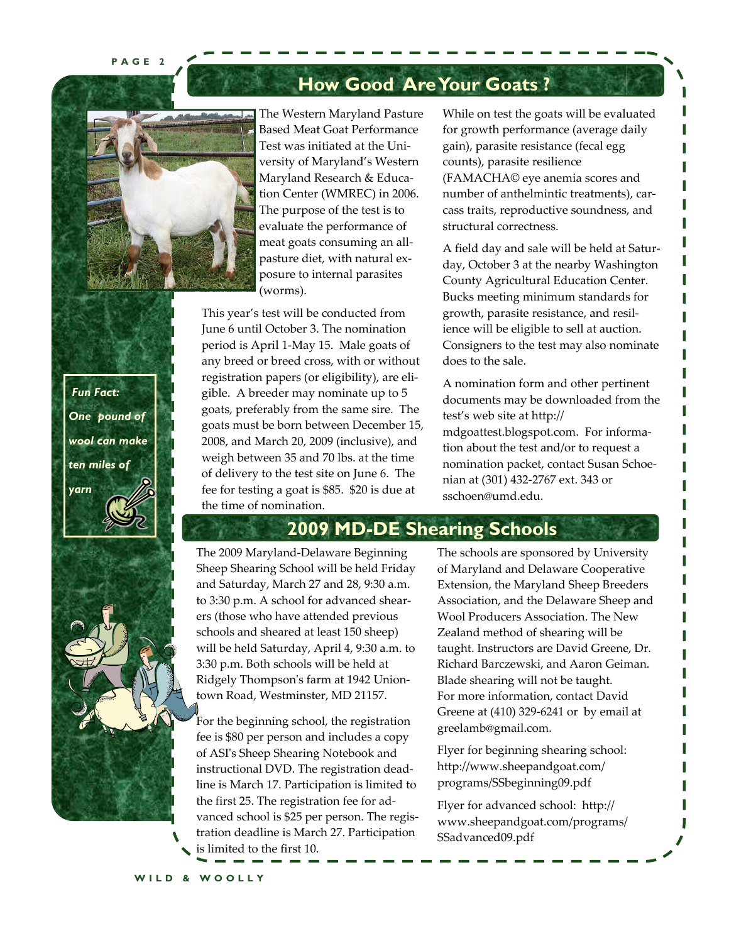**PAGE 2** 



The Western Maryland Pasture Based Meat Goat Performance Test was initiated at the Uni‐ versity of Maryland's Western Maryland Research & Educa‐ tion Center (WMREC) in 2006. The purpose of the test is to evaluate the performance of meat goats consuming an all‐ pasture diet, with natural ex‐ posure to internal parasites (worms).

This year's test will be conducted from June 6 until October 3. The nomination period is April 1‐May 15. Male goats of any breed or breed cross, with or without registration papers (or eligibility), are eli‐ gible. A breeder may nominate up to 5 goats, preferably from the same sire. The goats must be born between December 15, 2008, and March 20, 2009 (inclusive), and weigh between 35 and 70 lbs. at the time of delivery to the test site on June 6. The fee for testing a goat is \$85. \$20 is due at the time of nomination.

While on test the goats will be evaluated for growth performance (average daily gain), parasite resistance (fecal egg counts), parasite resilience (FAMACHA© eye anemia scores and number of anthelmintic treatments), carcass traits, reproductive soundness, and structural correctness.

A field day and sale will be held at Satur‐ day, October 3 at the nearby Washington County Agricultural Education Center. Bucks meeting minimum standards for growth, parasite resistance, and resil‐ ience will be eligible to sell at auction. Consigners to the test may also nominate does to the sale.

A nomination form and other pertinent documents may be downloaded from the test's web site at http:// mdgoattest.blogspot.com. For informa‐ tion about the test and/or to request a nomination packet, contact Susan Schoe‐ nian at (301) 432‐2767 ext. 343 or sschoen@umd.edu.

# **2009 MD-DE Shearing Schools**

**How Good Are Your Goats ?** 

The 2009 Maryland‐Delaware Beginning Sheep Shearing School will be held Friday and Saturday, March 27 and 28, 9:30 a.m. to 3:30 p.m. A school for advanced shear‐ ers (those who have attended previous schools and sheared at least 150 sheep) will be held Saturday, April 4, 9:30 a.m. to 3:30 p.m. Both schools will be held at Ridgely Thompsonʹs farm at 1942 Union‐ town Road, Westminster, MD 21157.

For the beginning school, the registration fee is \$80 per person and includes a copy of ASIʹs Sheep Shearing Notebook and instructional DVD. The registration dead‐ line is March 17. Participation is limited to the first 25. The registration fee for ad‐ vanced school is \$25 per person. The regis‐ tration deadline is March 27. Participation is limited to the first 10.

The schools are sponsored by University of Maryland and Delaware Cooperative Extension, the Maryland Sheep Breeders Association, and the Delaware Sheep and Wool Producers Association. The New Zealand method of shearing will be taught. Instructors are David Greene, Dr. Richard Barczewski, and Aaron Geiman. Blade shearing will not be taught. For more information, contact David Greene at (410) 329‐6241 or by email at greelamb@gmail.com.

Flyer for beginning shearing school: http://www.sheepandgoat.com/ programs/SSbeginning09.pdf

Flyer for advanced school: http:// www.sheepandgoat.com/programs/ SSadvanced09.pdf

 *Fun Fact: One pound of wool can make ten miles of yarn*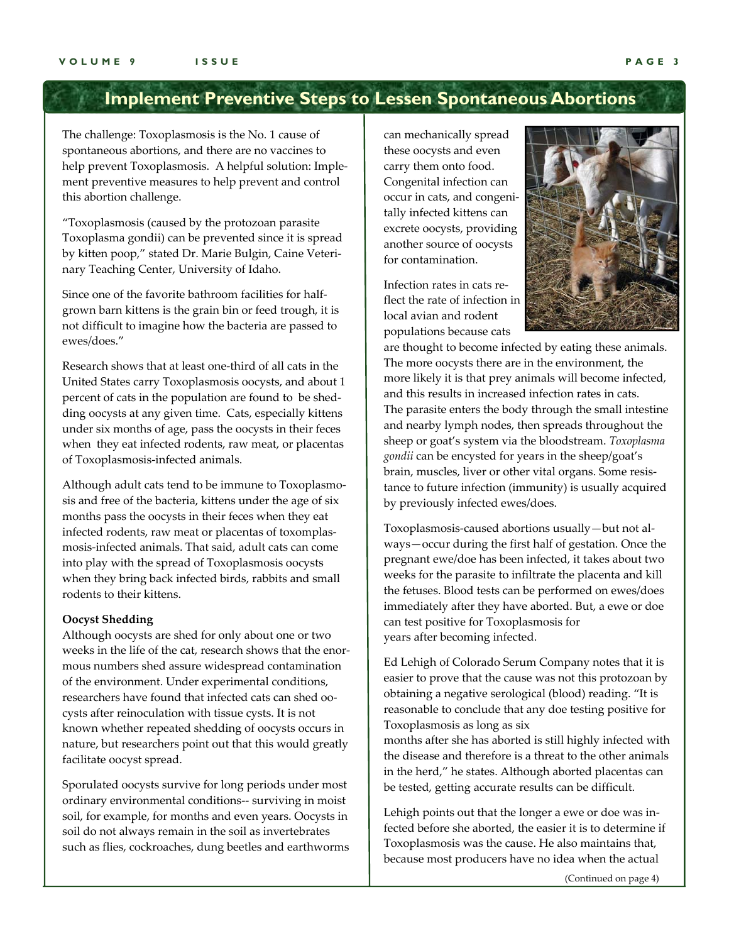# **Implement Preventive Steps to Lessen Spontaneous Abortions**

The challenge: Toxoplasmosis is the No. 1 cause of spontaneous abortions, and there are no vaccines to help prevent Toxoplasmosis. A helpful solution: Implement preventive measures to help prevent and control this abortion challenge.

"Toxoplasmosis (caused by the protozoan parasite Toxoplasma gondii) can be prevented since it is spread by kitten poop," stated Dr. Marie Bulgin, Caine Veteri‐ nary Teaching Center, University of Idaho.

Since one of the favorite bathroom facilities for halfgrown barn kittens is the grain bin or feed trough, it is not difficult to imagine how the bacteria are passed to ewes/does."

Research shows that at least one‐third of all cats in the United States carry Toxoplasmosis oocysts, and about 1 percent of cats in the population are found to be shedding oocysts at any given time. Cats, especially kittens under six months of age, pass the oocysts in their feces when they eat infected rodents, raw meat, or placentas of Toxoplasmosis‐infected animals.

Although adult cats tend to be immune to Toxoplasmo‐ sis and free of the bacteria, kittens under the age of six months pass the oocysts in their feces when they eat infected rodents, raw meat or placentas of toxomplasmosis‐infected animals. That said, adult cats can come into play with the spread of Toxoplasmosis oocysts when they bring back infected birds, rabbits and small rodents to their kittens.

#### **Oocyst Shedding**

Although oocysts are shed for only about one or two weeks in the life of the cat, research shows that the enormous numbers shed assure widespread contamination of the environment. Under experimental conditions, researchers have found that infected cats can shed oo‐ cysts after reinoculation with tissue cysts. It is not known whether repeated shedding of oocysts occurs in nature, but researchers point out that this would greatly facilitate oocyst spread.

Sporulated oocysts survive for long periods under most ordinary environmental conditions‐‐ surviving in moist soil, for example, for months and even years. Oocysts in soil do not always remain in the soil as invertebrates such as flies, cockroaches, dung beetles and earthworms can mechanically spread these oocysts and even carry them onto food. Congenital infection can occur in cats, and congeni‐ tally infected kittens can excrete oocysts, providing another source of oocysts for contamination.

Infection rates in cats re‐ flect the rate of infection in local avian and rodent populations because cats



are thought to become infected by eating these animals. The more oocysts there are in the environment, the more likely it is that prey animals will become infected, and this results in increased infection rates in cats. The parasite enters the body through the small intestine and nearby lymph nodes, then spreads throughout the sheep or goat's system via the bloodstream. *Toxoplasma gondii* can be encysted for years in the sheep/goat's brain, muscles, liver or other vital organs. Some resis‐ tance to future infection (immunity) is usually acquired by previously infected ewes/does.

Toxoplasmosis‐caused abortions usually—but not al‐ ways—occur during the first half of gestation. Once the pregnant ewe/doe has been infected, it takes about two weeks for the parasite to infiltrate the placenta and kill the fetuses. Blood tests can be performed on ewes/does immediately after they have aborted. But, a ewe or doe can test positive for Toxoplasmosis for years after becoming infected.

Ed Lehigh of Colorado Serum Company notes that it is easier to prove that the cause was not this protozoan by obtaining a negative serological (blood) reading. "It is reasonable to conclude that any doe testing positive for Toxoplasmosis as long as six

months after she has aborted is still highly infected with the disease and therefore is a threat to the other animals in the herd," he states. Although aborted placentas can be tested, getting accurate results can be difficult.

Lehigh points out that the longer a ewe or doe was in‐ fected before she aborted, the easier it is to determine if Toxoplasmosis was the cause. He also maintains that, because most producers have no idea when the actual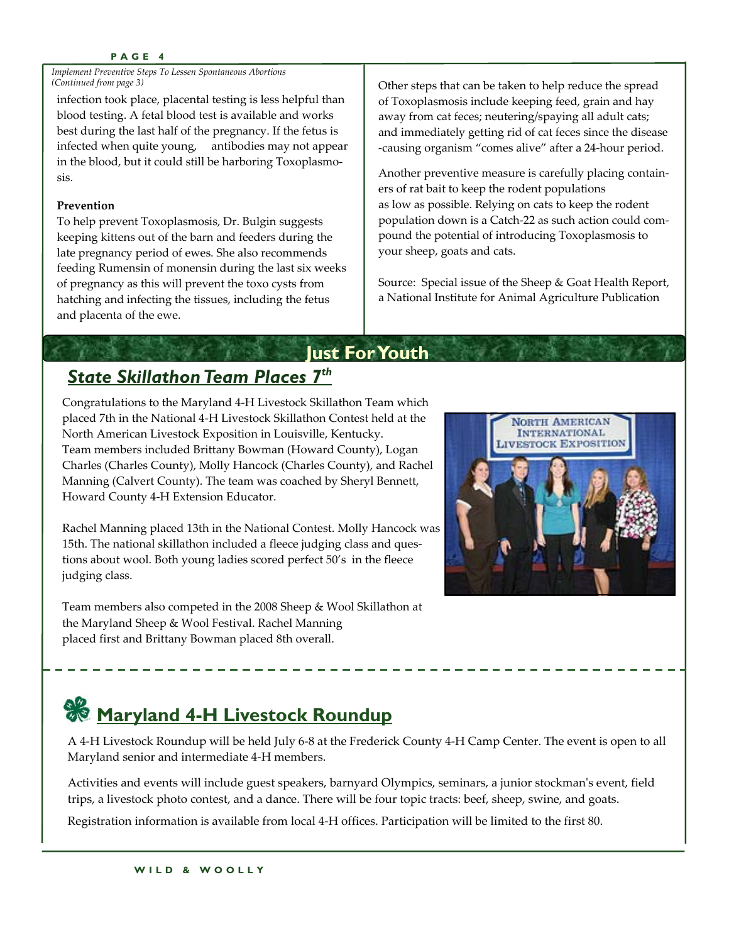#### **PAGE 4**

*Implement Preventive Steps To Lessen Spontaneous Abortions (Continued from page 3)*

infection took place, placental testing is less helpful than blood testing. A fetal blood test is available and works best during the last half of the pregnancy. If the fetus is infected when quite young, antibodies may not appear in the blood, but it could still be harboring Toxoplasmosis.

#### **Prevention**

To help prevent Toxoplasmosis, Dr. Bulgin suggests keeping kittens out of the barn and feeders during the late pregnancy period of ewes. She also recommends feeding Rumensin of monensin during the last six weeks of pregnancy as this will prevent the toxo cysts from hatching and infecting the tissues, including the fetus and placenta of the ewe.

Other steps that can be taken to help reduce the spread of Toxoplasmosis include keeping feed, grain and hay away from cat feces; neutering/spaying all adult cats; and immediately getting rid of cat feces since the disease ‐causing organism "comes alive" after a 24‐hour period.

Another preventive measure is carefully placing contain‐ ers of rat bait to keep the rodent populations as low as possible. Relying on cats to keep the rodent population down is a Catch‐22 as such action could com‐ pound the potential of introducing Toxoplasmosis to your sheep, goats and cats.

Source: Special issue of the Sheep & Goat Health Report, a National Institute for Animal Agriculture Publication

# **Just For Youth**  *State Skillathon Team Places 7th*

Congratulations to the Maryland 4‐H Livestock Skillathon Team which placed 7th in the National 4‐H Livestock Skillathon Contest held at the North American Livestock Exposition in Louisville, Kentucky. Team members included Brittany Bowman (Howard County), Logan Charles (Charles County), Molly Hancock (Charles County), and Rachel Manning (Calvert County). The team was coached by Sheryl Bennett, Howard County 4‐H Extension Educator.

Rachel Manning placed 13th in the National Contest. Molly Hancock was 15th. The national skillathon included a fleece judging class and ques‐ tions about wool. Both young ladies scored perfect 50's in the fleece judging class.

Team members also competed in the 2008 Sheep & Wool Skillathon at the Maryland Sheep & Wool Festival. Rachel Manning placed first and Brittany Bowman placed 8th overall.



# **Maryland 4-H Livestock Roundup**

A 4‐H Livestock Roundup will be held July 6‐8 at the Frederick County 4‐H Camp Center. The event is open to all Maryland senior and intermediate 4‐H members.

Activities and events will include guest speakers, barnyard Olympics, seminars, a junior stockman's event, field trips, a livestock photo contest, and a dance. There will be four topic tracts: beef, sheep, swine, and goats.

Registration information is available from local 4‐H offices. Participation will be limited to the first 80.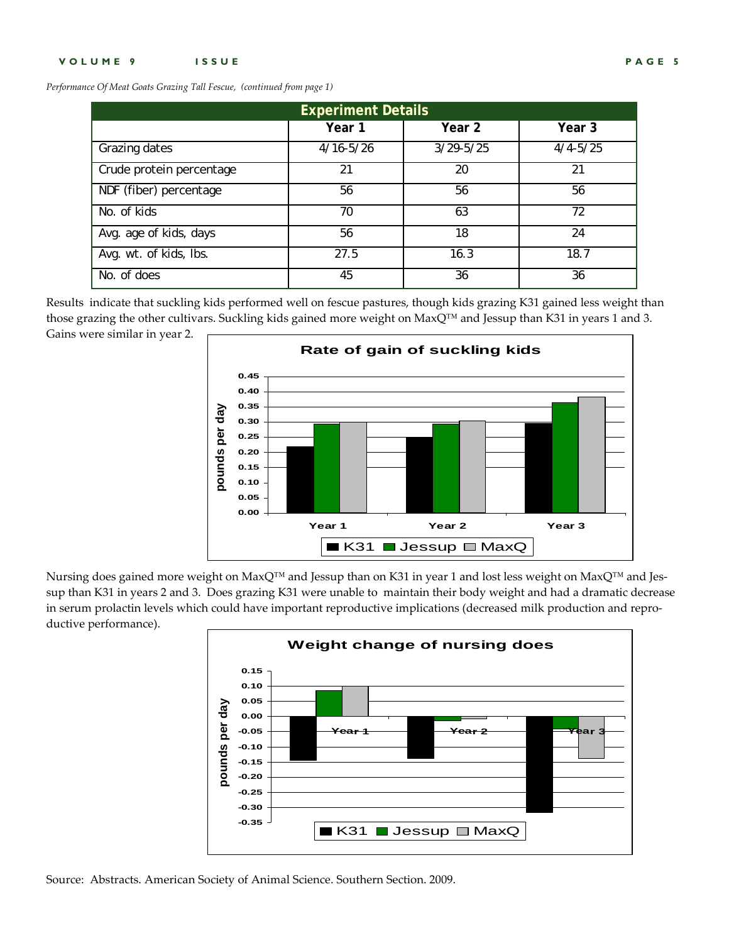*Performance Of Meat Goats Grazing Tall Fescue, (continued from page 1)*

| <b>Experiment Details</b> |               |               |              |  |  |  |  |  |
|---------------------------|---------------|---------------|--------------|--|--|--|--|--|
|                           | Year 1        | Year 2        | Year 3       |  |  |  |  |  |
| Grazing dates             | $4/16 - 5/26$ | $3/29 - 5/25$ | $4/4 - 5/25$ |  |  |  |  |  |
| Crude protein percentage  | 21            | 20            | 21           |  |  |  |  |  |
| NDF (fiber) percentage    | 56            | 56            | 56           |  |  |  |  |  |
| No. of kids               | 70            | 63            | 72           |  |  |  |  |  |
| Avg. age of kids, days    | 56            | 18            | 24           |  |  |  |  |  |
| Avg. wt. of kids, lbs.    | 27.5          | 16.3          | 18.7         |  |  |  |  |  |
| No. of does               | 45            | 36            | 36           |  |  |  |  |  |

Results indicate that suckling kids performed well on fescue pastures, though kids grazing K31 gained less weight than those grazing the other cultivars. Suckling kids gained more weight on MaxQ™ and Jessup than K31 in years 1 and 3. Gains were similar in year 2.



Nursing does gained more weight on MaxQ™ and Jessup than on K31 in year 1 and lost less weight on MaxQ™ and Jessup than K31 in years 2 and 3. Does grazing K31 were unable to maintain their body weight and had a dramatic decrease in serum prolactin levels which could have important reproductive implications (decreased milk production and reproductive performance).



Source: Abstracts. American Society of Animal Science. Southern Section. 2009.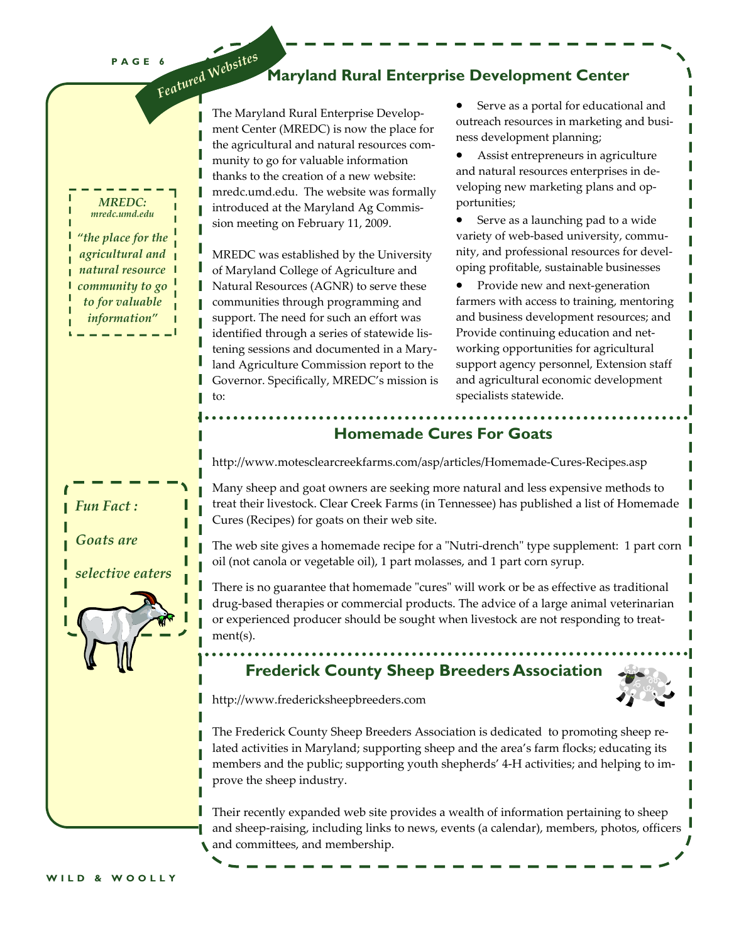**PAGE 6**  *Featured Websites*

### **Maryland Rural Enterprise Development Center**

The Maryland Rural Enterprise Develop‐ ment Center (MREDC) is now the place for the agricultural and natural resources community to go for valuable information thanks to the creation of a new website: mredc.umd.edu. The website was formally introduced at the Maryland Ag Commis‐ sion meeting on February 11, 2009.

MREDC was established by the University of Maryland College of Agriculture and Natural Resources (AGNR) to serve these communities through programming and support. The need for such an effort was identified through a series of statewide listening sessions and documented in a Mary‐ land Agriculture Commission report to the Governor. Specifically, MREDC's mission is to:

• Serve as a portal for educational and outreach resources in marketing and busi‐ ness development planning;

• Assist entrepreneurs in agriculture and natural resources enterprises in de‐ veloping new marketing plans and op‐ portunities;

Serve as a launching pad to a wide variety of web‐based university, commu‐ nity, and professional resources for devel‐ oping profitable, sustainable businesses

• Provide new and next-generation farmers with access to training, mentoring and business development resources; and Provide continuing education and net‐ working opportunities for agricultural support agency personnel, Extension staff and agricultural economic development specialists statewide.

**Homemade Cures For Goats** 

http://www.motesclearcreekfarms.com/asp/articles/Homemade‐Cures‐Recipes.asp

Many sheep and goat owners are seeking more natural and less expensive methods to treat their livestock. Clear Creek Farms (in Tennessee) has published a list of Homemade Cures (Recipes) for goats on their web site.

The web site gives a homemade recipe for a "Nutri-drench" type supplement: 1 part corn oil (not canola or vegetable oil), 1 part molasses, and 1 part corn syrup.

There is no guarantee that homemade "cures" will work or be as effective as traditional drug‐based therapies or commercial products. The advice of a large animal veterinarian or experienced producer should be sought when livestock are not responding to treat‐ ment(s).

# **Frederick County Sheep Breeders Association**



http://www.fredericksheepbreeders.com

The Frederick County Sheep Breeders Association is dedicated to promoting sheep re‐ lated activities in Maryland; supporting sheep and the area's farm flocks; educating its members and the public; supporting youth shepherds' 4‐H activities; and helping to im‐ prove the sheep industry.

Their recently expanded web site provides a wealth of information pertaining to sheep and sheep-raising, including links to news, events (a calendar), members, photos, officers and committees, and membership.

*MREDC: mredc.umd.edu "the place for the agricultural and natural resource community to go to for valuable*

*information"*

*Fun Fact :*

*Goats are*

*selective eaters*

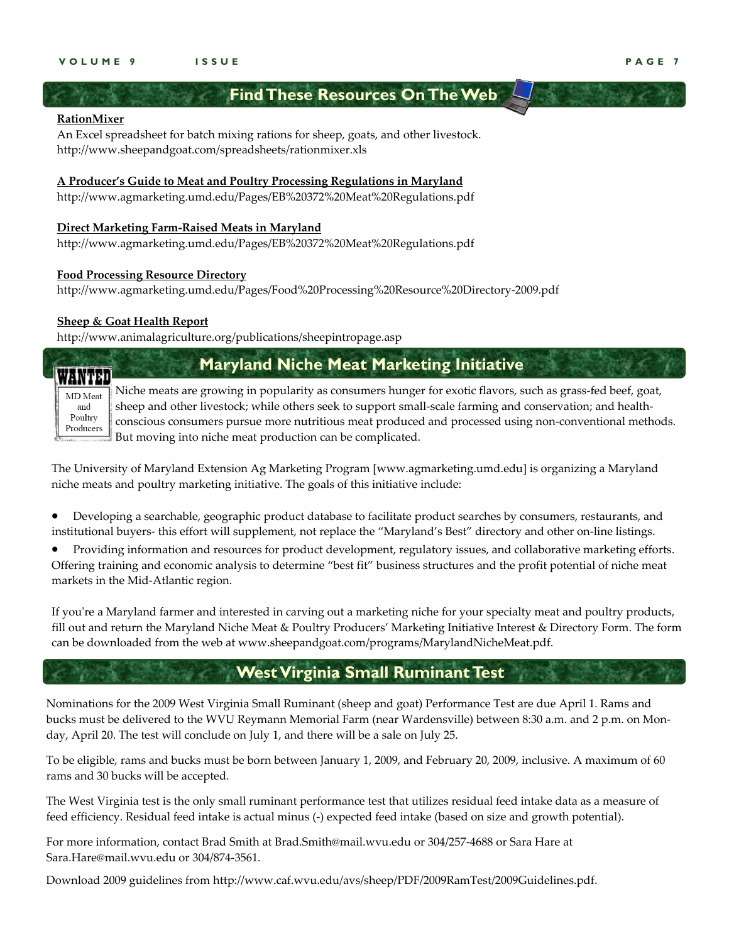### **Find These Resources On The Web**

### **RationMixer**

An Excel spreadsheet for batch mixing rations for sheep, goats, and other livestock. http://www.sheepandgoat.com/spreadsheets/rationmixer.xls

#### **A Producer's Guide to Meat and Poultry Processing Regulations in Maryland**

http://www.agmarketing.umd.edu/Pages/EB%20372%20Meat%20Regulations.pdf

#### **Direct Marketing Farm‐Raised Meats in Maryland**

http://www.agmarketing.umd.edu/Pages/EB%20372%20Meat%20Regulations.pdf

#### **Food Processing Resource Directory**

http://www.agmarketing.umd.edu/Pages/Food%20Processing%20Resource%20Directory‐2009.pdf

#### **Sheep & Goat Health Report**

http://www.animalagriculture.org/publications/sheepintropage.asp

# **Maryland Niche Meat Marketing Initiative**

MD Meat and Poultry

Producers

WANTED

Niche meats are growing in popularity as consumers hunger for exotic flavors, such as grass-fed beef, goat, sheep and other livestock; while others seek to support small-scale farming and conservation; and healthconscious consumers pursue more nutritious meat produced and processed using non‐conventional methods. But moving into niche meat production can be complicated.

The University of Maryland Extension Ag Marketing Program [www.agmarketing.umd.edu] is organizing a Maryland niche meats and poultry marketing initiative. The goals of this initiative include:

• Developing a searchable, geographic product database to facilitate product searches by consumers, restaurants, and institutional buyers‐ this effort will supplement, not replace the "Maryland's Best" directory and other on‐line listings.

• Providing information and resources for product development, regulatory issues, and collaborative marketing efforts. Offering training and economic analysis to determine "best fit" business structures and the profit potential of niche meat markets in the Mid‐Atlantic region.

If you're a Maryland farmer and interested in carving out a marketing niche for your specialty meat and poultry products, fill out and return the Maryland Niche Meat & Poultry Producers' Marketing Initiative Interest & Directory Form. The form can be downloaded from the web at www.sheepandgoat.com/programs/MarylandNicheMeat.pdf.

## **West Virginia Small Ruminant Test**

Nominations for the 2009 West Virginia Small Ruminant (sheep and goat) Performance Test are due April 1. Rams and bucks must be delivered to the WVU Reymann Memorial Farm (near Wardensville) between 8:30 a.m. and 2 p.m. on Monday, April 20. The test will conclude on July 1, and there will be a sale on July 25.

To be eligible, rams and bucks must be born between January 1, 2009, and February 20, 2009, inclusive. A maximum of 60 rams and 30 bucks will be accepted.

The West Virginia test is the only small ruminant performance test that utilizes residual feed intake data as a measure of feed efficiency. Residual feed intake is actual minus (-) expected feed intake (based on size and growth potential).

For more information, contact Brad Smith at Brad.Smith@mail.wvu.edu or 304/257‐4688 or Sara Hare at Sara.Hare@mail.wvu.edu or 304/874‐3561.

Download 2009 guidelines from http://www.caf.wvu.edu/avs/sheep/PDF/2009RamTest/2009Guidelines.pdf.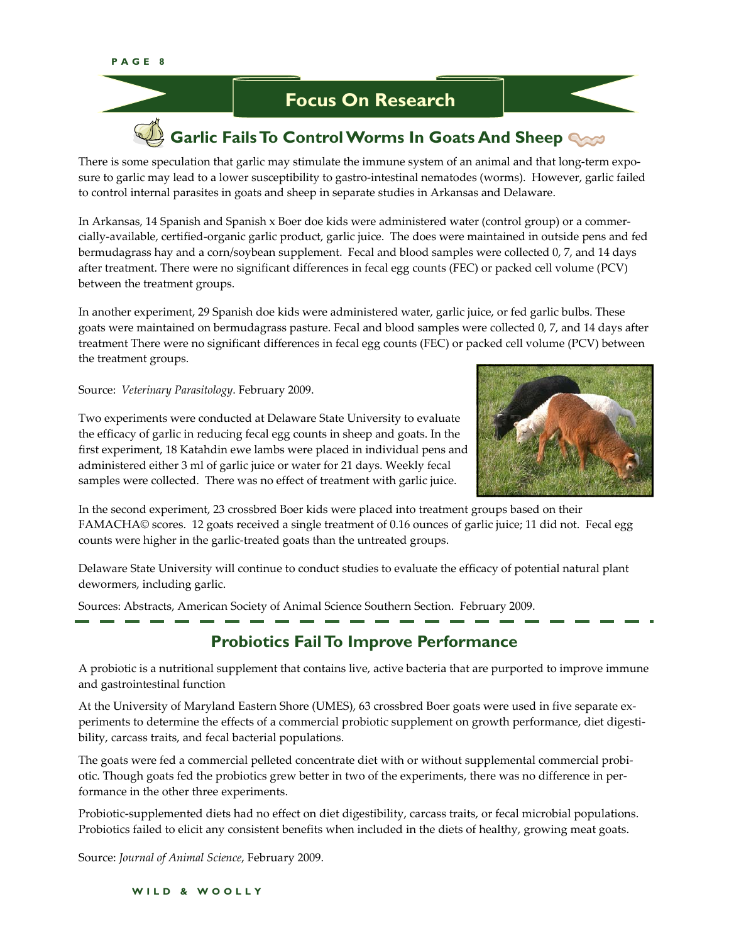

There is some speculation that garlic may stimulate the immune system of an animal and that long-term exposure to garlic may lead to a lower susceptibility to gastro-intestinal nematodes (worms). However, garlic failed to control internal parasites in goats and sheep in separate studies in Arkansas and Delaware.

In Arkansas, 14 Spanish and Spanish x Boer doe kids were administered water (control group) or a commer‐ cially‐available, certified‐organic garlic product, garlic juice. The does were maintained in outside pens and fed bermudagrass hay and a corn/soybean supplement. Fecal and blood samples were collected 0, 7, and 14 days after treatment. There were no significant differences in fecal egg counts (FEC) or packed cell volume (PCV) between the treatment groups.

In another experiment, 29 Spanish doe kids were administered water, garlic juice, or fed garlic bulbs. These goats were maintained on bermudagrass pasture. Fecal and blood samples were collected 0, 7, and 14 days after treatment There were no significant differences in fecal egg counts (FEC) or packed cell volume (PCV) between the treatment groups.

Source: *Veterinary Parasitology*. February 2009.



Two experiments were conducted at Delaware State University to evaluate the efficacy of garlic in reducing fecal egg counts in sheep and goats. In the first experiment, 18 Katahdin ewe lambs were placed in individual pens and administered either 3 ml of garlic juice or water for 21 days. Weekly fecal samples were collected. There was no effect of treatment with garlic juice.

In the second experiment, 23 crossbred Boer kids were placed into treatment groups based on their FAMACHA© scores. 12 goats received a single treatment of 0.16 ounces of garlic juice; 11 did not. Fecal egg counts were higher in the garlic‐treated goats than the untreated groups.

Delaware State University will continue to conduct studies to evaluate the efficacy of potential natural plant dewormers, including garlic.

Sources: Abstracts, American Society of Animal Science Southern Section. February 2009.

# **Probiotics Fail To Improve Performance**

A probiotic is a nutritional supplement that contains live, active bacteria that are purported to improve immune and gastrointestinal function

At the University of Maryland Eastern Shore (UMES), 63 crossbred Boer goats were used in five separate ex‐ periments to determine the effects of a commercial probiotic supplement on growth performance, diet digestibility, carcass traits, and fecal bacterial populations.

The goats were fed a commercial pelleted concentrate diet with or without supplemental commercial probiotic. Though goats fed the probiotics grew better in two of the experiments, there was no difference in performance in the other three experiments.

Probiotic-supplemented diets had no effect on diet digestibility, carcass traits, or fecal microbial populations. Probiotics failed to elicit any consistent benefits when included in the diets of healthy, growing meat goats.

Source: *Journal of Animal Science*, February 2009.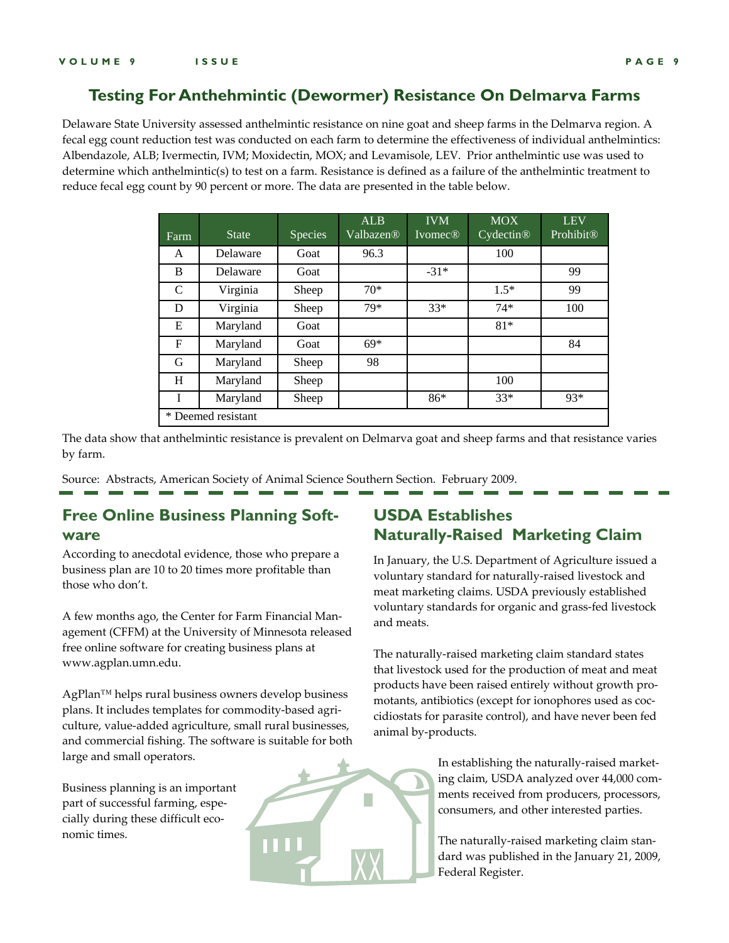### **Testing For Anthehmintic (Dewormer) Resistance On Delmarva Farms**

Delaware State University assessed anthelmintic resistance on nine goat and sheep farms in the Delmarva region. A fecal egg count reduction test was conducted on each farm to determine the effectiveness of individual anthelmintics: Albendazole, ALB; Ivermectin, IVM; Moxidectin, MOX; and Levamisole, LEV. Prior anthelmintic use was used to determine which anthelmintic(s) to test on a farm. Resistance is defined as a failure of the anthelmintic treatment to reduce fecal egg count by 90 percent or more. The data are presented in the table below.

| Farm               | <b>State</b> | Species | <b>ALB</b><br>Valbazen® | <b>IVM</b><br><b>Ivomec®</b> | <b>MOX</b><br>Cydectin® | <b>LEV</b><br>Prohibit <sup>®</sup> |  |  |
|--------------------|--------------|---------|-------------------------|------------------------------|-------------------------|-------------------------------------|--|--|
| A                  | Delaware     | Goat    | 96.3                    |                              | 100                     |                                     |  |  |
| B                  | Delaware     | Goat    |                         | $-31*$                       |                         | 99                                  |  |  |
| C                  | Virginia     | Sheep   | $70*$                   |                              | $1.5*$                  | 99                                  |  |  |
| D                  | Virginia     | Sheep   | 79*                     | $33*$                        | $74*$                   | 100                                 |  |  |
| E                  | Maryland     | Goat    |                         |                              | $81*$                   |                                     |  |  |
| $\mathbf F$        | Maryland     | Goat    | $69*$                   |                              |                         | 84                                  |  |  |
| G                  | Maryland     | Sheep   | 98                      |                              |                         |                                     |  |  |
| H                  | Maryland     | Sheep   |                         |                              | 100                     |                                     |  |  |
| Ī                  | Maryland     | Sheep   |                         | $86*$                        | $33*$                   | 93*                                 |  |  |
| * Deemed resistant |              |         |                         |                              |                         |                                     |  |  |

The data show that anthelmintic resistance is prevalent on Delmarva goat and sheep farms and that resistance varies by farm.

Source: Abstracts, American Society of Animal Science Southern Section. February 2009.

# **Free Online Business Planning Software**

According to anecdotal evidence, those who prepare a business plan are 10 to 20 times more profitable than those who don't.

A few months ago, the Center for Farm Financial Man‐ agement (CFFM) at the University of Minnesota released free online software for creating business plans at www.agplan.umn.edu.

AgPlan™ helps rural business owners develop business plans. It includes templates for commodity‐based agri‐ culture, value‐added agriculture, small rural businesses, and commercial fishing. The software is suitable for both large and small operators.

Business planning is an important part of successful farming, especially during these difficult economic times.

# **USDA Establishes Naturally-Raised Marketing Claim**

In January, the U.S. Department of Agriculture issued a voluntary standard for naturally‐raised livestock and meat marketing claims. USDA previously established voluntary standards for organic and grass‐fed livestock and meats.

The naturally‐raised marketing claim standard states that livestock used for the production of meat and meat products have been raised entirely without growth pro‐ motants, antibiotics (except for ionophores used as coc‐ cidiostats for parasite control), and have never been fed animal by‐products.

> In establishing the naturally‐raised market‐ ing claim, USDA analyzed over 44,000 com‐ ments received from producers, processors, consumers, and other interested parties.

The naturally‐raised marketing claim stan‐ dard was published in the January 21, 2009, Federal Register.